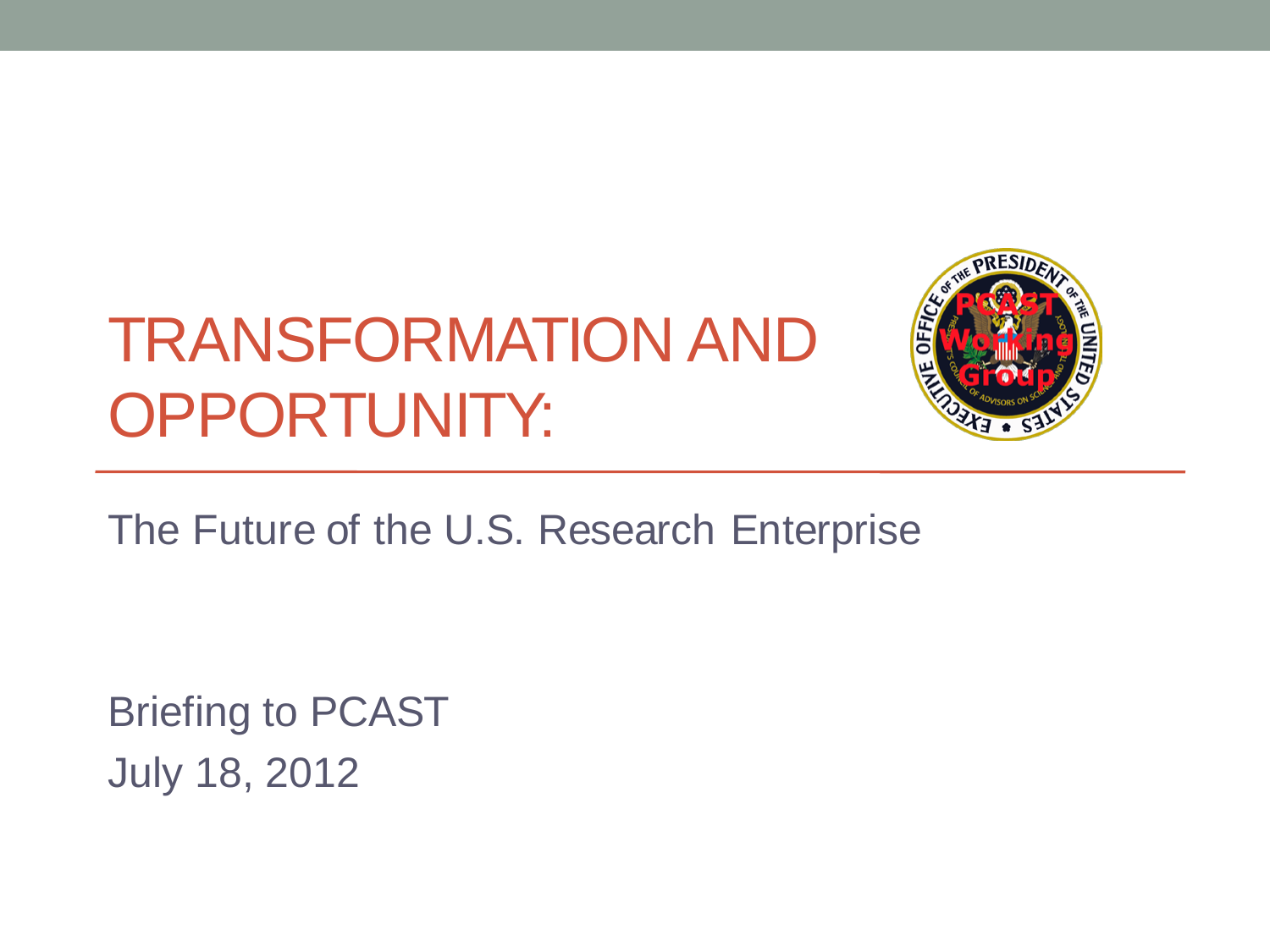#### TRANSFORMATION AND OPPORTUNITY:



The Future of the U.S. Research Enterprise

Briefing to PCAST July 18, 2012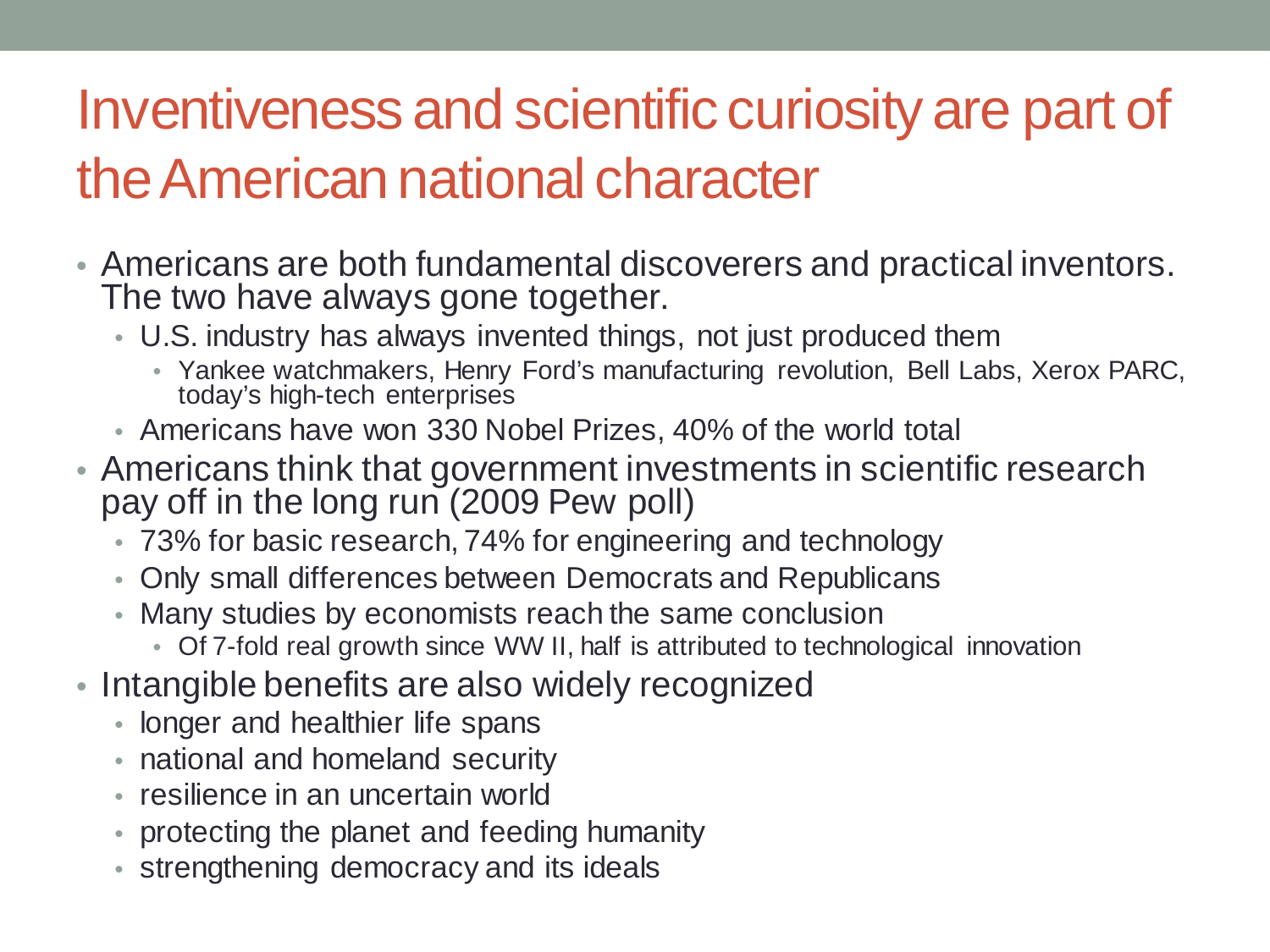#### Inventiveness and scientific curiosity are part of the American national character

- Americans are both fundamental discoverers and practical inventors. The two have always gone together.
	- U.S. industry has always invented things, not just produced them
		- Yankee watchmakers, Henry Ford's manufacturing revolution, Bell Labs, Xerox PARC, today's high-tech enterprises
	- Americans have won 330 Nobel Prizes, 40% of the world total
- Americans think that government investments in scientific research pay off in the long run (2009 Pew poll)
	- 73% for basic research, 74% for engineering and technology
	- Only small differences between Democrats and Republicans
	- Many studies by economists reach the same conclusion
		- Of 7-fold real growth since WW II, half is attributed to technological innovation
- Intangible benefits are also widely recognized
	- longer and healthier life spans
	- national and homeland security
	- resilience in an uncertain world
	- protecting the planet and feeding humanity
	- strengthening democracy and its ideals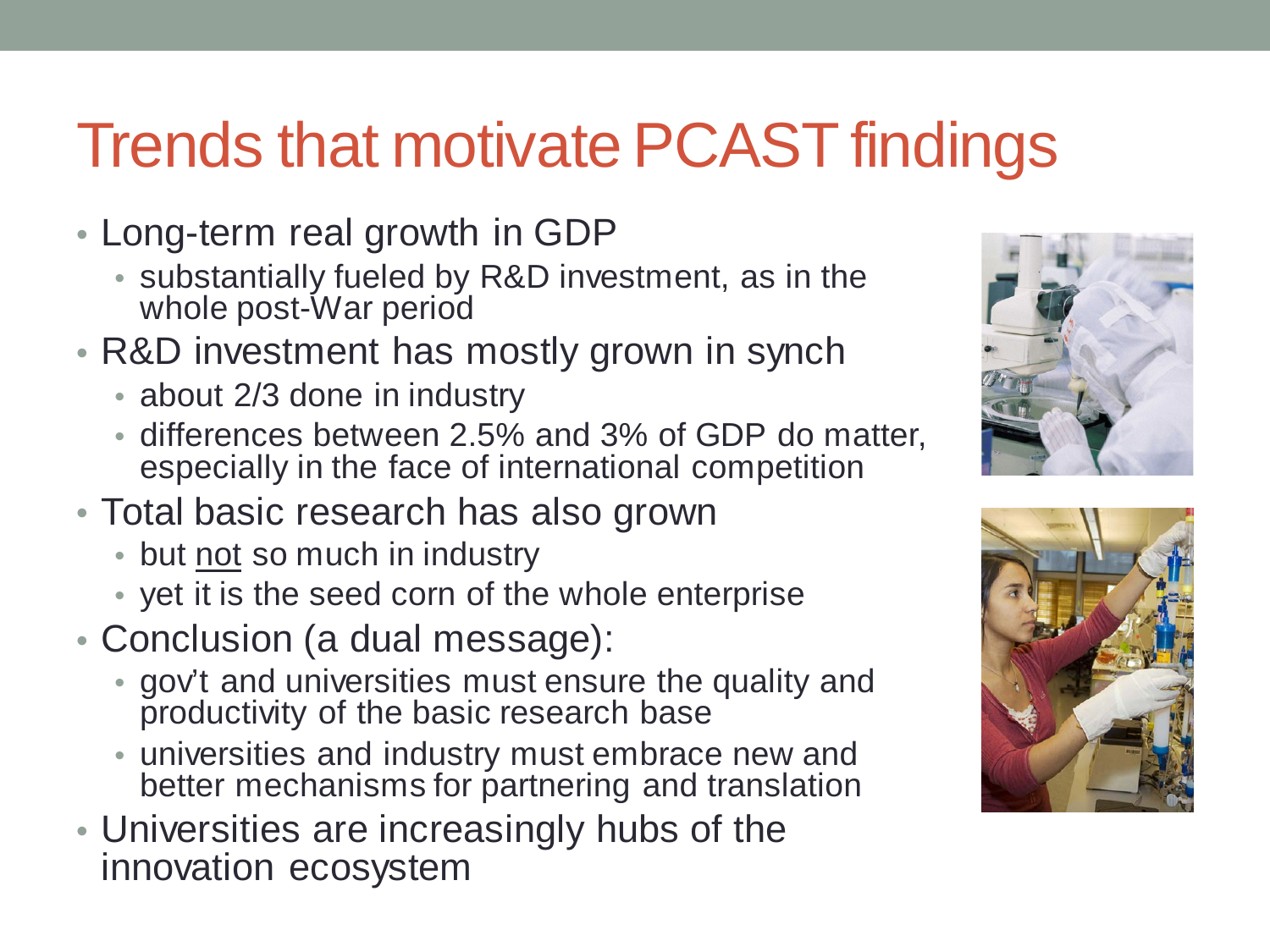#### Trends that motivate PCAST findings

- Long-term real growth in GDP
	- substantially fueled by R&D investment, as in the whole post-War period
- R&D investment has mostly grown in synch
	- about 2/3 done in industry
	- differences between 2.5% and 3% of GDP do matter, especially in the face of international competition
- Total basic research has also grown
	- but not so much in industry
	- yet it is the seed corn of the whole enterprise
- Conclusion (a dual message):
	- gov't and universities must ensure the quality and productivity of the basic research base
	- universities and industry must embrace new and better mechanisms for partnering and translation
- Universities are increasingly hubs of the innovation ecosystem



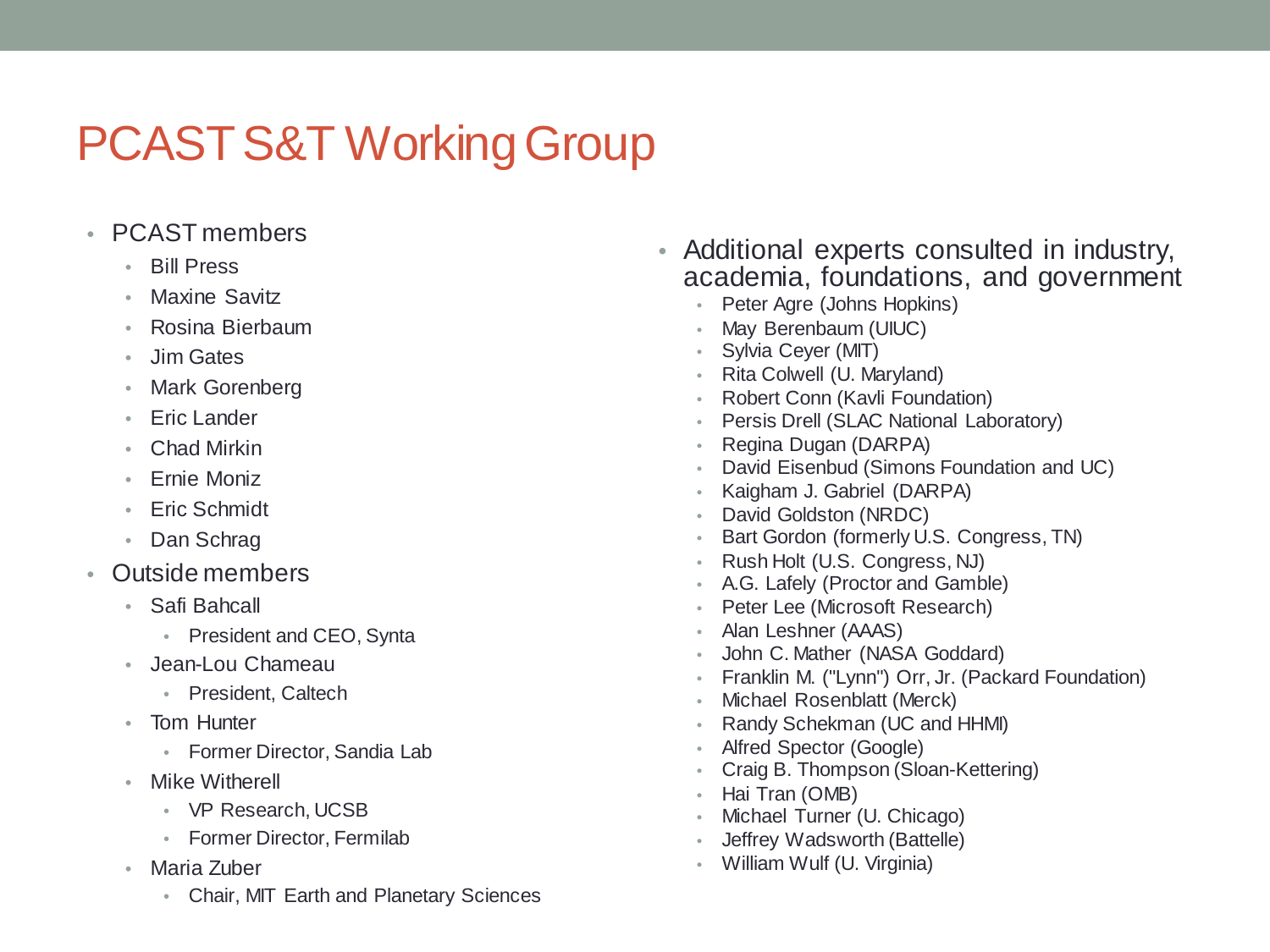#### PCAST S&T Working Group

- PCAST members
	- Bill Press
	- Maxine Savitz
	- Rosina Bierbaum
	- Jim Gates
	- Mark Gorenberg
	- Eric Lander
	- Chad Mirkin
	- Ernie Moniz
	- Eric Schmidt
	- Dan Schrag
- Outside members
	- Safi Bahcall
		- President and CEO, Synta
	- Jean-Lou Chameau
		- President, Caltech
	- Tom Hunter
		- Former Director, Sandia Lab
	- Mike Witherell
		- VP Research, UCSB
		- Former Director, Fermilab
	- Maria Zuber
		- Chair, MIT Earth and Planetary Sciences
- Additional experts consulted in industry, academia, foundations, and government
	- Peter Agre (Johns Hopkins)
	- May Berenbaum (UIUC)
	- Sylvia Ceyer (MIT)
	- Rita Colwell (U. Maryland)
	- Robert Conn (Kavli Foundation)
	- Persis Drell (SLAC National Laboratory)
	- Regina Dugan (DARPA)
	- David Eisenbud (Simons Foundation and UC)
	- Kaigham J. Gabriel (DARPA)
	- David Goldston (NRDC)
	- Bart Gordon (formerly U.S. Congress, TN)
	- Rush Holt (U.S. Congress, NJ)
	- A.G. Lafely (Proctor and Gamble)
	- Peter Lee (Microsoft Research)
	- Alan Leshner (AAAS)
	- John C. Mather (NASA Goddard)
	- Franklin M. ("Lynn") Orr, Jr. (Packard Foundation)
	- Michael Rosenblatt (Merck)
	- Randy Schekman (UC and HHMI)
	- Alfred Spector (Google)
	- Craig B. Thompson (Sloan-Kettering)
	- Hai Tran (OMB)
	- Michael Turner (U. Chicago)
	- Jeffrey Wadsworth (Battelle)
	- William Wulf (U. Virginia)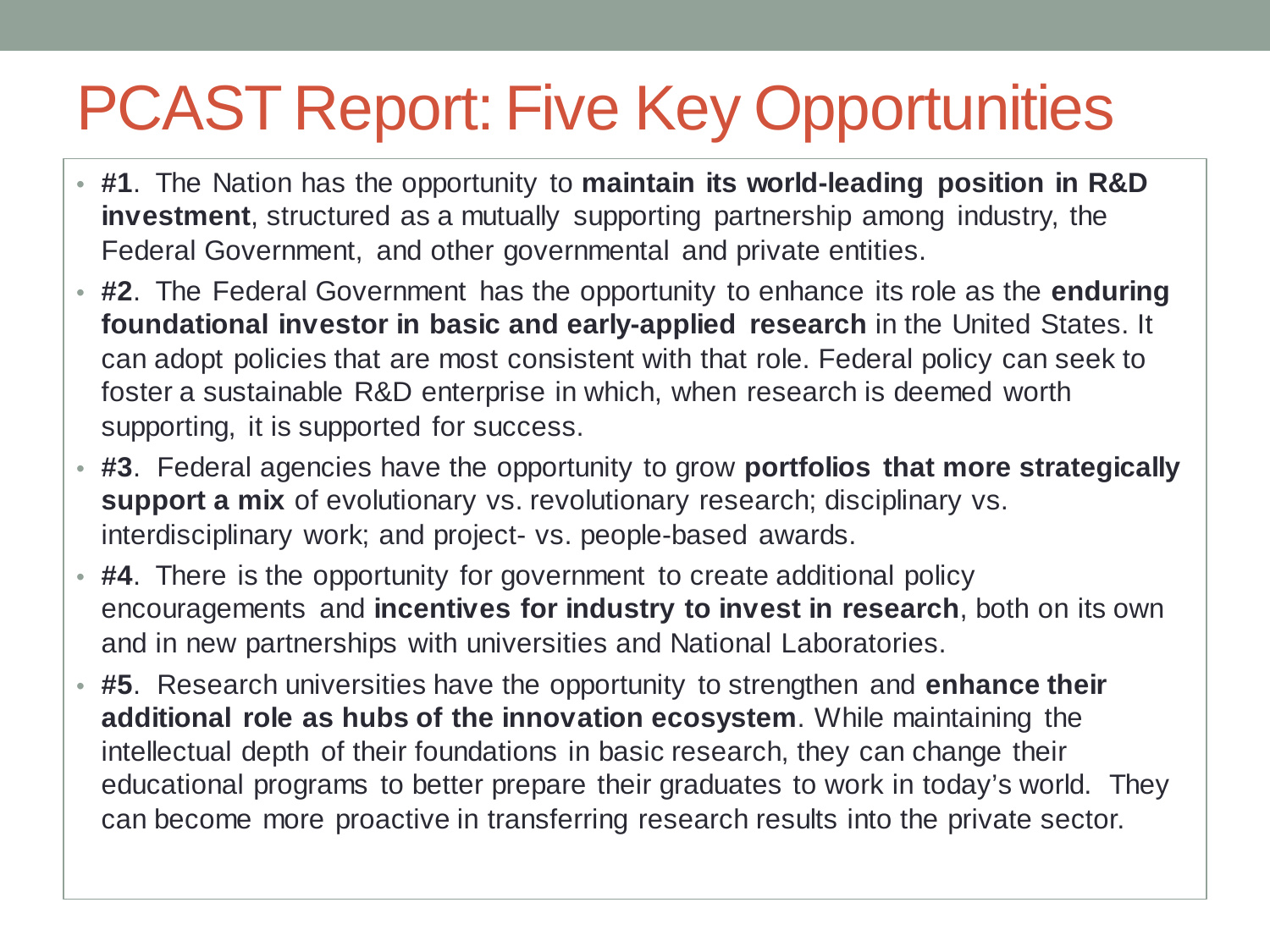#### PCAST Report: Five Key Opportunities

- **#1**. The Nation has the opportunity to **maintain its world-leading position in R&D investment**, structured as a mutually supporting partnership among industry, the Federal Government, and other governmental and private entities.
- **#2**. The Federal Government has the opportunity to enhance its role as the **enduring foundational investor in basic and early-applied research** in the United States. It can adopt policies that are most consistent with that role. Federal policy can seek to foster a sustainable R&D enterprise in which, when research is deemed worth supporting, it is supported for success.
- **#3**. Federal agencies have the opportunity to grow **portfolios that more strategically support a mix** of evolutionary vs. revolutionary research; disciplinary vs. interdisciplinary work; and project- vs. people-based awards.
- **#4**. There is the opportunity for government to create additional policy encouragements and **incentives for industry to invest in research**, both on its own and in new partnerships with universities and National Laboratories.
- **#5**. Research universities have the opportunity to strengthen and **enhance their additional role as hubs of the innovation ecosystem**. While maintaining the intellectual depth of their foundations in basic research, they can change their educational programs to better prepare their graduates to work in today's world. They can become more proactive in transferring research results into the private sector.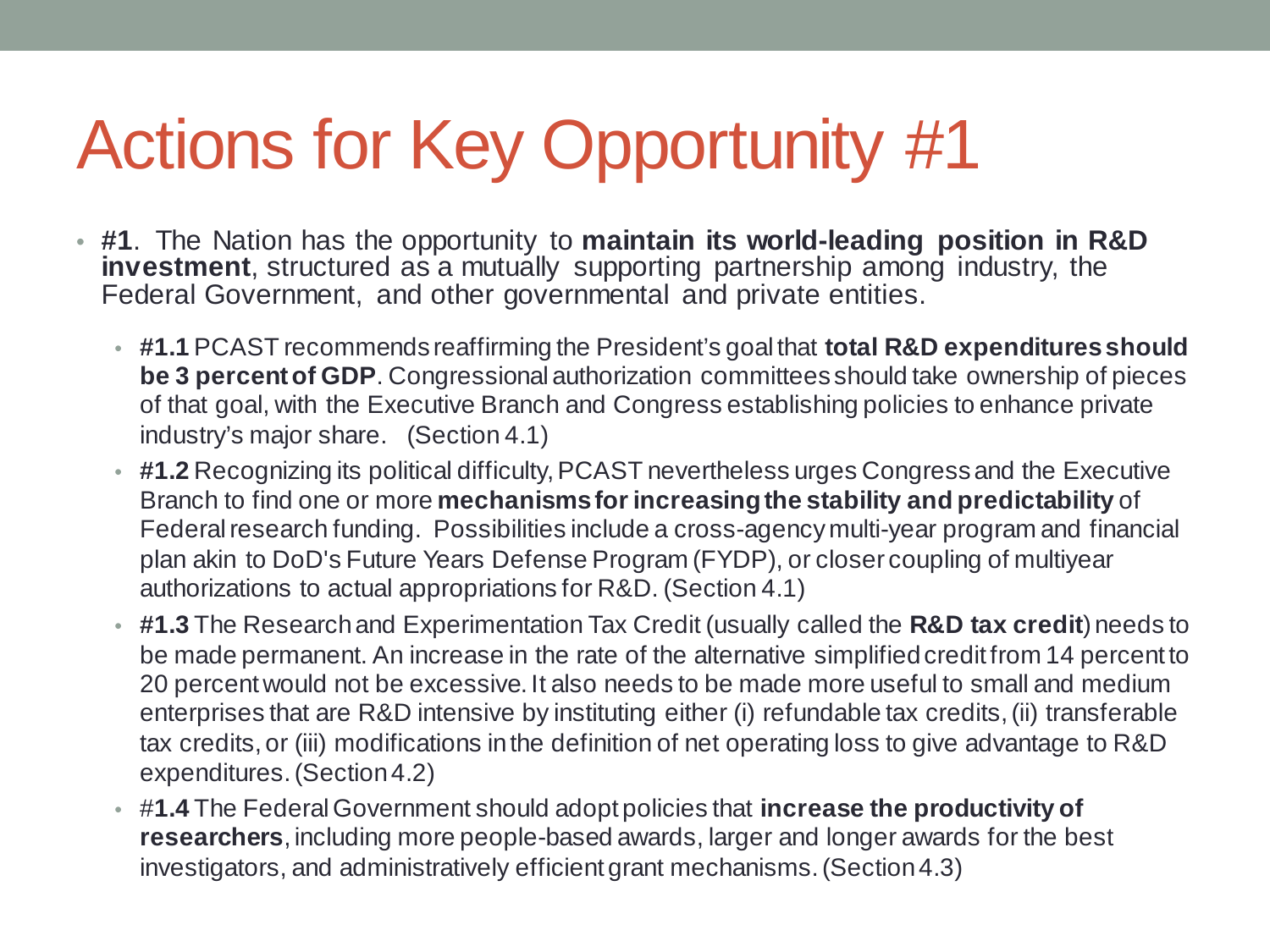- **#1**. The Nation has the opportunity to **maintain its world-leading position in R&D**  investment, structured as a mutually supporting partnership among industry, the Federal Government, and other governmental and private entities.
	- **#1.1** PCAST recommends reaffirming the President's goal that **total R&D expenditures should be 3 percent of GDP**. Congressional authorization committees should take ownership of pieces of that goal, with the Executive Branch and Congress establishing policies to enhance private industry's major share. (Section 4.1)
	- **#1.2** Recognizing its political difficulty, PCAST nevertheless urges Congress and the Executive Branch to find one or more **mechanisms for increasing the stability and predictability** of Federal research funding. Possibilities include a cross-agency multi-year program and financial plan akin to DoD's Future Years Defense Program (FYDP), or closer coupling of multiyear authorizations to actual appropriations for R&D. (Section 4.1)
	- **#1.3** The Research and Experimentation Tax Credit (usually called the **R&D tax credit**) needs to be made permanent. An increase in the rate of the alternative simplified credit from 14 percent to 20 percent would not be excessive. It also needs to be made more useful to small and medium enterprises that are R&D intensive by instituting either (i) refundable tax credits, (ii) transferable tax credits, or (iii) modifications in the definition of net operating loss to give advantage to R&D expenditures. (Section 4.2)
	- #**1.4** The Federal Government should adopt policies that **increase the productivity of researchers**, including more people-based awards, larger and longer awards for the best investigators, and administratively efficient grant mechanisms. (Section 4.3)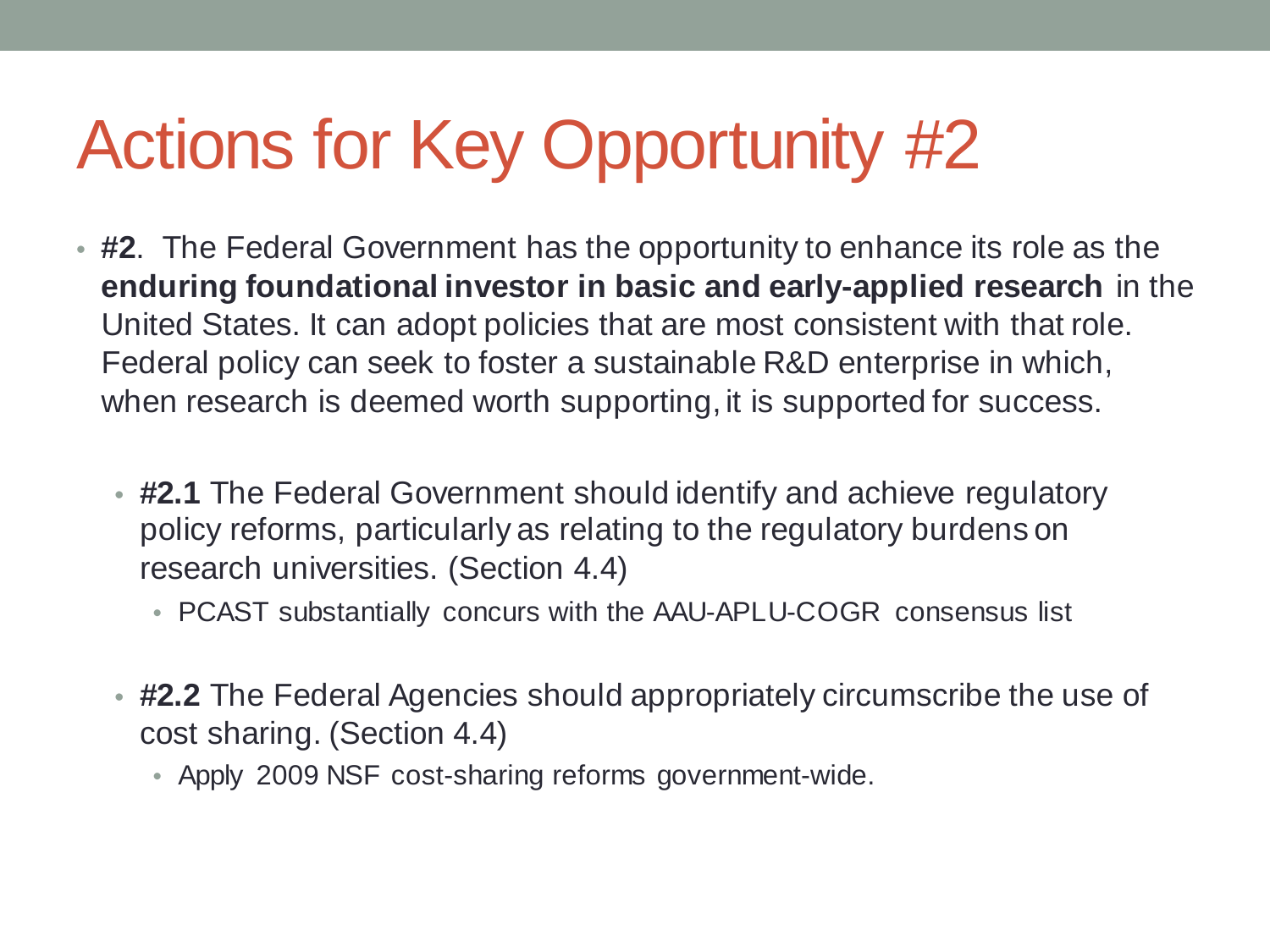- **#2**. The Federal Government has the opportunity to enhance its role as the **enduring foundational investor in basic and early-applied research** in the United States. It can adopt policies that are most consistent with that role. Federal policy can seek to foster a sustainable R&D enterprise in which, when research is deemed worth supporting, it is supported for success.
	- **#2.1** The Federal Government should identify and achieve regulatory policy reforms, particularly as relating to the regulatory burdens on research universities. (Section 4.4)
		- PCAST substantially concurs with the AAU-APLU-COGR consensus list
	- **#2.2** The Federal Agencies should appropriately circumscribe the use of cost sharing. (Section 4.4)
		- Apply 2009 NSF cost-sharing reforms government-wide.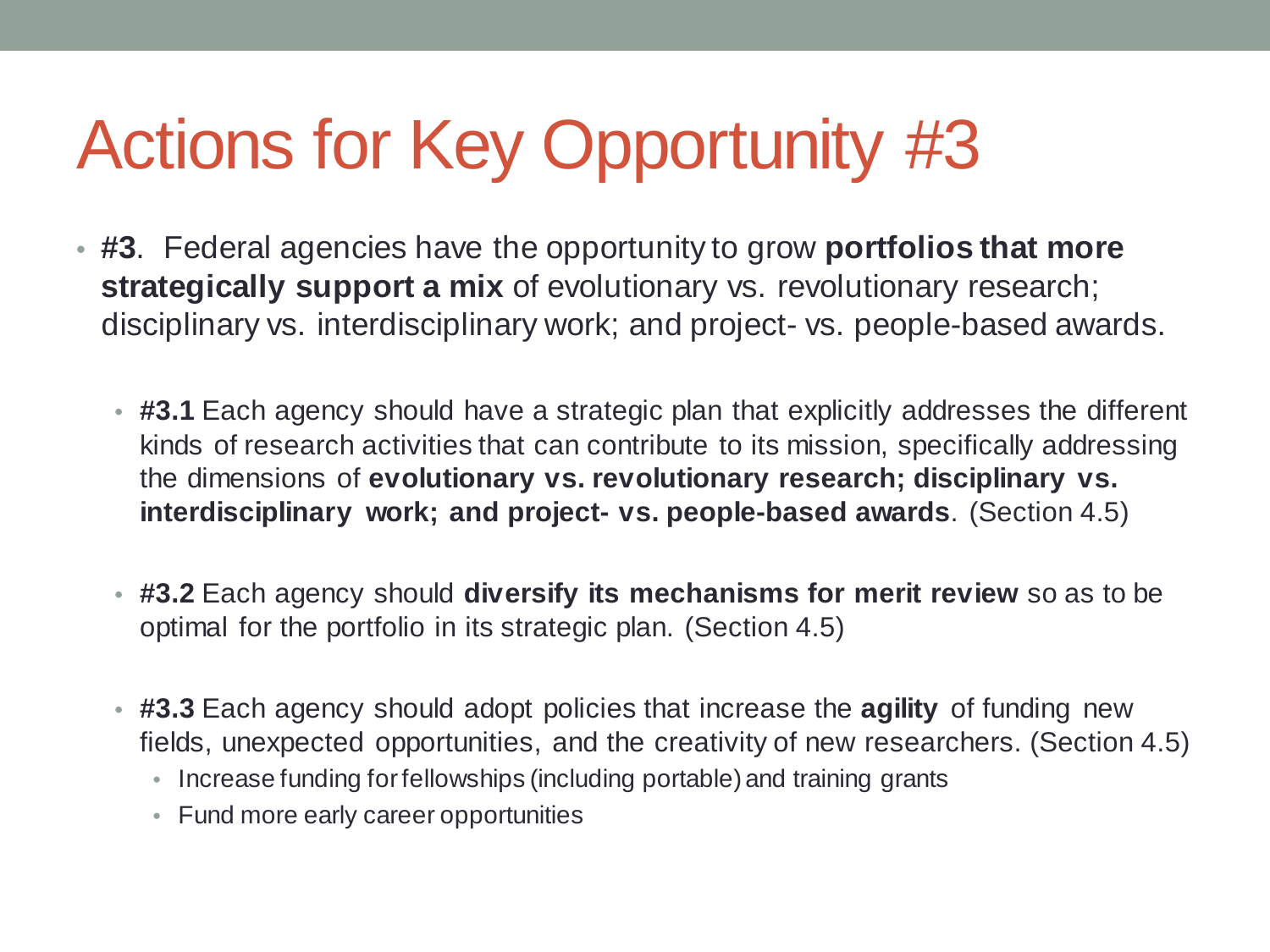- **#3**. Federal agencies have the opportunity to grow **portfolios that more strategically support a mix** of evolutionary vs. revolutionary research; disciplinary vs. interdisciplinary work; and project- vs. people-based awards.
	- **#3.1** Each agency should have a strategic plan that explicitly addresses the different kinds of research activities that can contribute to its mission, specifically addressing the dimensions of **evolutionary vs. revolutionary research; disciplinary vs. interdisciplinary work; and project- vs. people-based awards**. (Section 4.5)
	- **#3.2** Each agency should **diversify its mechanisms for merit review** so as to be optimal for the portfolio in its strategic plan. (Section 4.5)
	- **#3.3** Each agency should adopt policies that increase the **agility** of funding new fields, unexpected opportunities, and the creativity of new researchers. (Section 4.5)
		- Increase funding for fellowships (including portable) and training grants
		- Fund more early career opportunities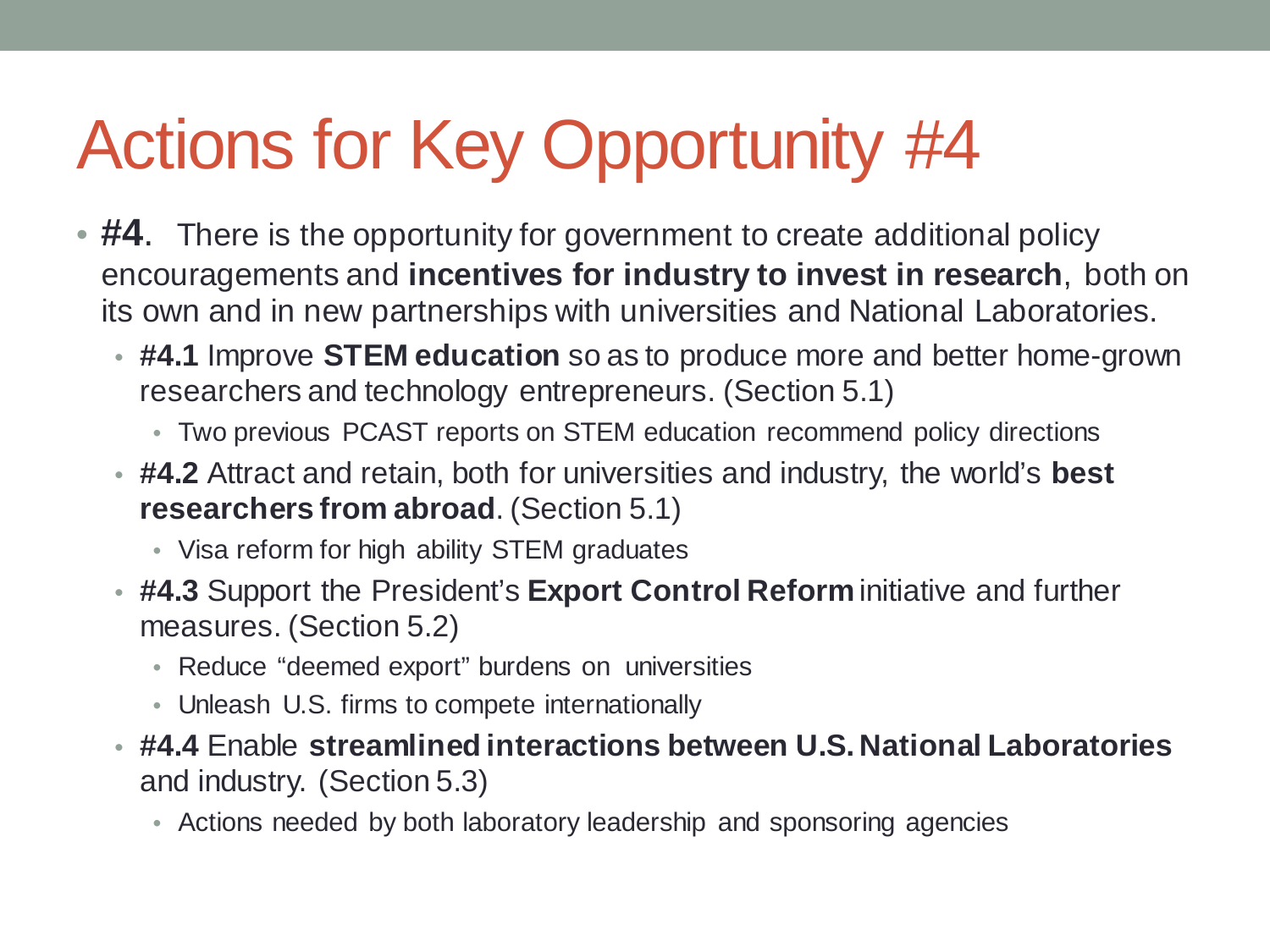- **#4.** There is the opportunity for government to create additional policy encouragements and **incentives for industry to invest in research**, both on its own and in new partnerships with universities and National Laboratories.
	- **#4.1** Improve **STEM education** so as to produce more and better home-grown researchers and technology entrepreneurs. (Section 5.1)
		- Two previous PCAST reports on STEM education recommend policy directions
	- **#4.2** Attract and retain, both for universities and industry, the world's **best researchers from abroad**. (Section 5.1)
		- Visa reform for high ability STEM graduates
	- **#4.3** Support the President's **Export Control Reform** initiative and further measures. (Section 5.2)
		- Reduce "deemed export" burdens on universities
		- Unleash U.S. firms to compete internationally
	- **#4.4** Enable **streamlined interactions between U.S. National Laboratories** and industry. (Section 5.3)
		- Actions needed by both laboratory leadership and sponsoring agencies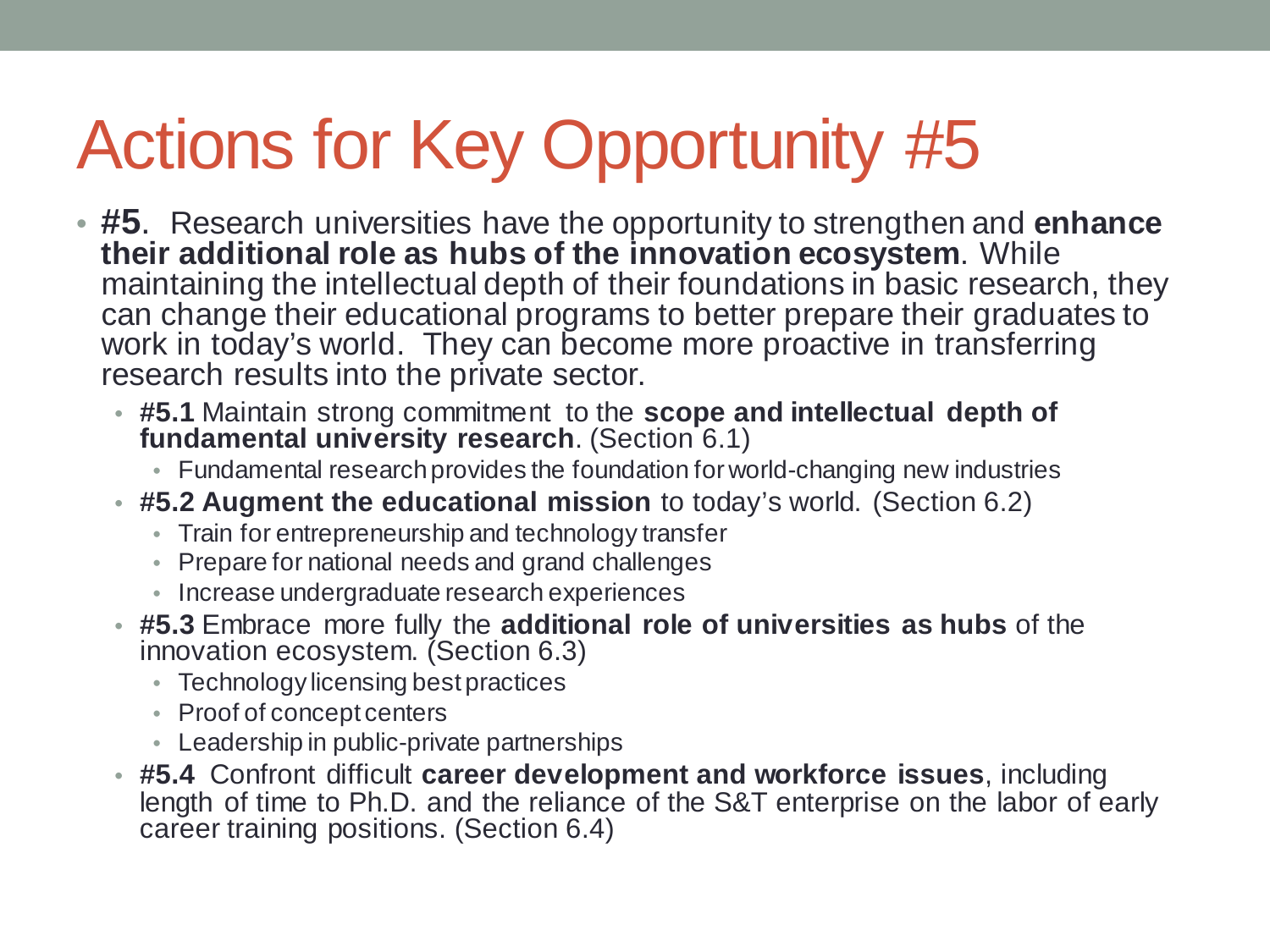- **#5**. Research universities have the opportunity to strengthen and **enhance their additional role as hubs of the innovation ecosystem**. While maintaining the intellectual depth of their foundations in basic research, they can change their educational programs to better prepare their graduates to work in today's world. They can become more proactive in transferring research results into the private sector.
	- **#5.1** Maintain strong commitment to the **scope and intellectual depth of fundamental university research**. (Section 6.1)
		- Fundamental research provides the foundation for world-changing new industries
	- **#5.2 Augment the educational mission** to today's world. (Section 6.2)
		- Train for entrepreneurship and technology transfer
		- Prepare for national needs and grand challenges
		- Increase undergraduate research experiences
	- **#5.3** Embrace more fully the **additional role of universities as hubs** of the innovation ecosystem. (Section 6.3)
		- Technology licensing best practices
		- Proof of concept centers
		- Leadership in public-private partnerships
	- **#5.4** Confront difficult **career development and workforce issues**, including length of time to Ph.D. and the reliance of the S&T enterprise on the labor of early career training positions. (Section 6.4)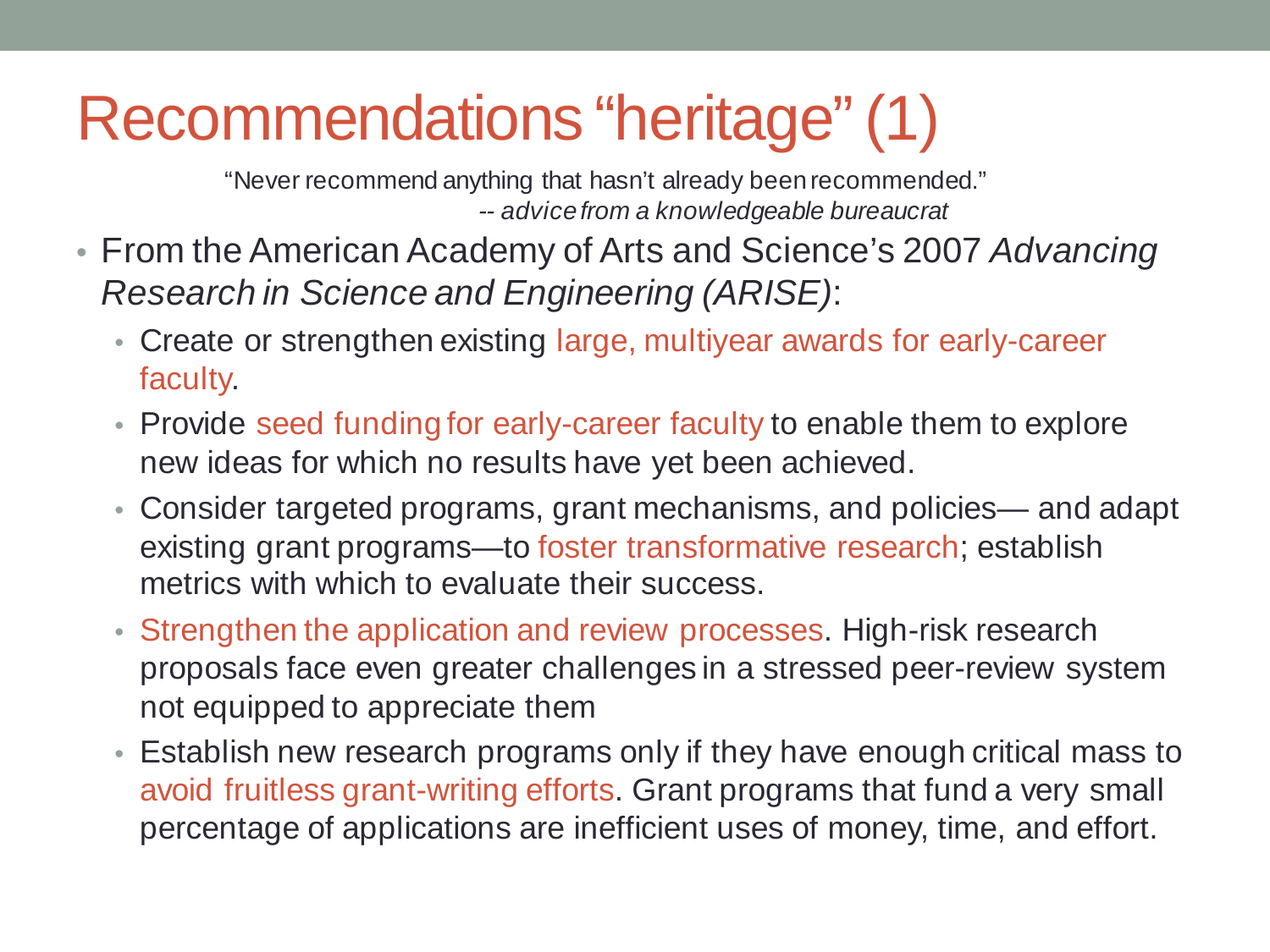#### Recommendations "heritage" (1)

"Never recommend anything that hasn't already been recommended." *-- advice from a knowledgeable bureaucrat*

- From the American Academy of Arts and Science's 2007 *Advancing Research in Science and Engineering (ARISE)*:
	- Create or strengthen existing large, multiyear awards for early-career faculty.
	- Provide seed funding for early-career faculty to enable them to explore new ideas for which no results have yet been achieved.
	- Consider targeted programs, grant mechanisms, and policies— and adapt existing grant programs—to foster transformative research; establish metrics with which to evaluate their success.
	- Strengthen the application and review processes. High-risk research proposals face even greater challenges in a stressed peer-review system not equipped to appreciate them
	- Establish new research programs only if they have enough critical mass to avoid fruitless grant-writing efforts. Grant programs that fund a very small percentage of applications are inefficient uses of money, time, and effort.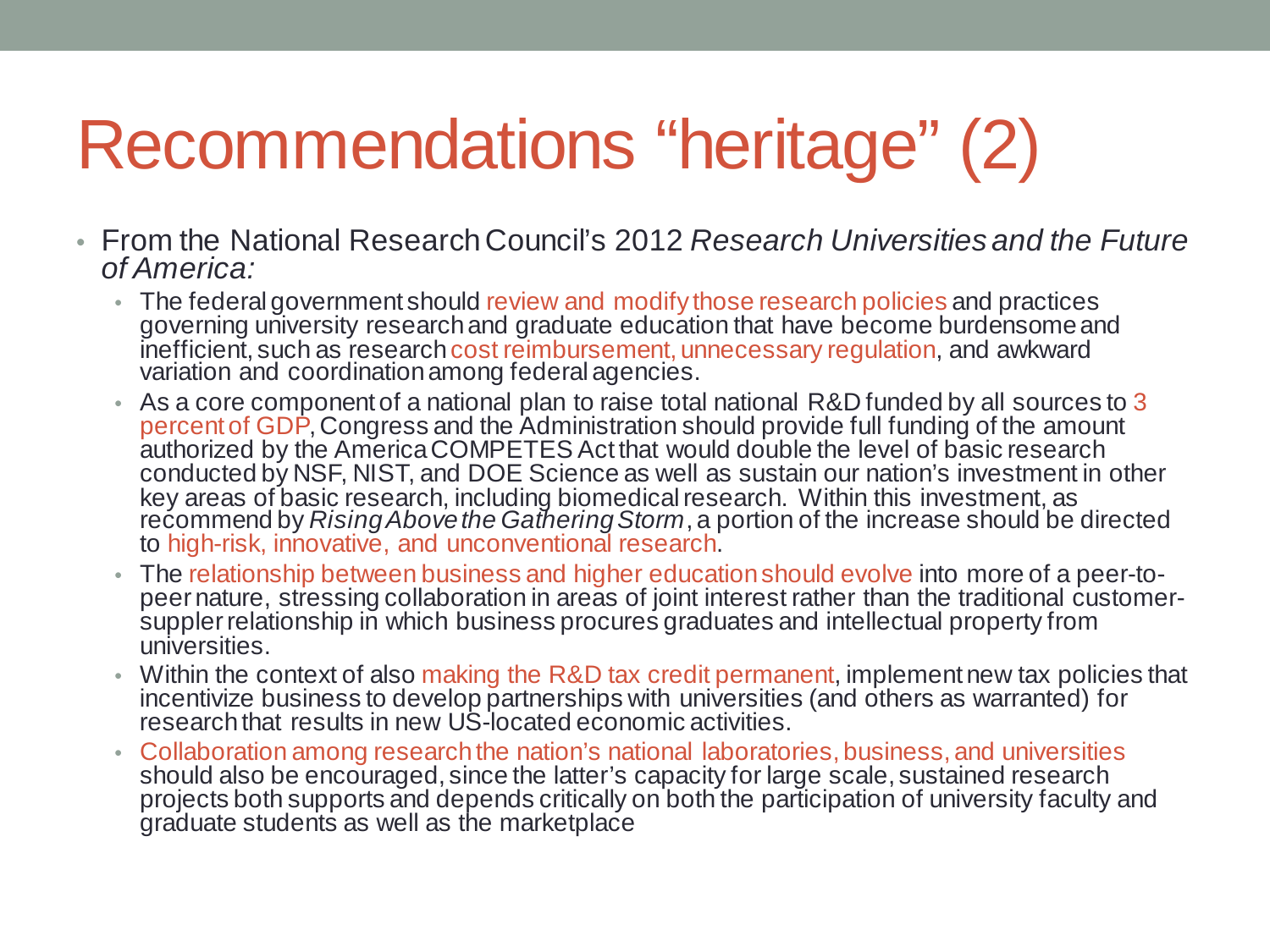## Recommendations "heritage" (2)

- From the National Research Council's 2012 *Research Universities and the Future of America:*
	- The federal government should review and modify those research policies and practices governing university research and graduate education that have become burdensome and inefficient, such as research cost reimbursement, unnecessary regulation, and awkward variation and coordination among federal agencies.
	- As a core component of a national plan to raise total national R&D funded by all sources to 3 percent of GDP, Congress and the Administration should provide full funding of the amount authorized by the America COMPETES Act that would double the level of basic research conducted by NSF, NIST, and DOE Science as well as sustain our nation's investment in other key areas of basic research, including biomedical research. Within this investment, as recommend by *Rising Above the Gathering Storm*, a portion of the increase should be directed to high-risk, innovative, and unconventional research.
	- The relationship between business and higher education should evolve into more of a peer-to-<br>peer nature, stressing collaboration in areas of joint interest rather than the traditional customer-<br>suppler relationship in w universities.
	- Within the context of also making the R&D tax credit permanent, implement new tax policies that incentivize business to develop partnerships with universities (and others as warranted) for research that results in new US-located economic activities.
	- Collaboration among research the nation's national laboratories, business, and universities should also be encouraged, since the latter's capacity for large scale, sustained research projects both supports and depends critically on both the participation of university faculty and graduate students as well as the marketplace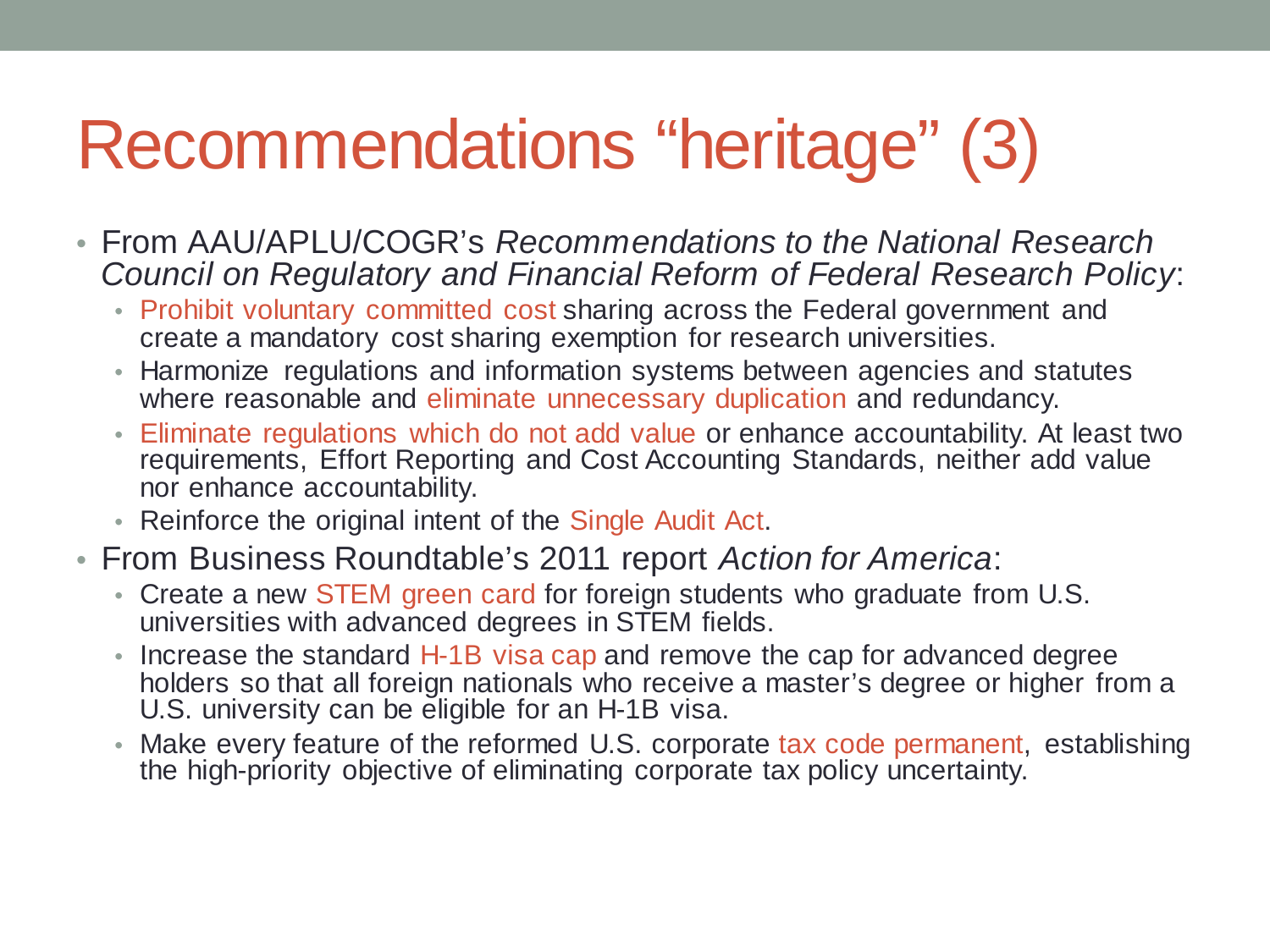#### Recommendations "heritage" (3)

- From AAU/APLU/COGR's *Recommendations to the National Research Council on Regulatory and Financial Reform of Federal Research Policy*:
	- Prohibit voluntary committed cost sharing across the Federal government and create a mandatory cost sharing exemption for research universities.
	- Harmonize regulations and information systems between agencies and statutes where reasonable and eliminate unnecessary duplication and redundancy.
	- Eliminate regulations which do not add value or enhance accountability. At least two requirements, Effort Reporting and Cost Accounting Standards, neither add value nor enhance accountability.
	- Reinforce the original intent of the Single Audit Act.
- From Business Roundtable's 2011 report *Action for America*:
	- Create a new STEM green card for foreign students who graduate from U.S. universities with advanced degrees in STEM fields.
	- Increase the standard H-1B visa cap and remove the cap for advanced degree holders so that all foreign nationals who receive a master's degree or higher from a U.S. university can be eligible for an H-1B visa.
	- Make every feature of the reformed U.S. corporate tax code permanent, establishing the high-priority objective of eliminating corporate tax policy uncertainty.